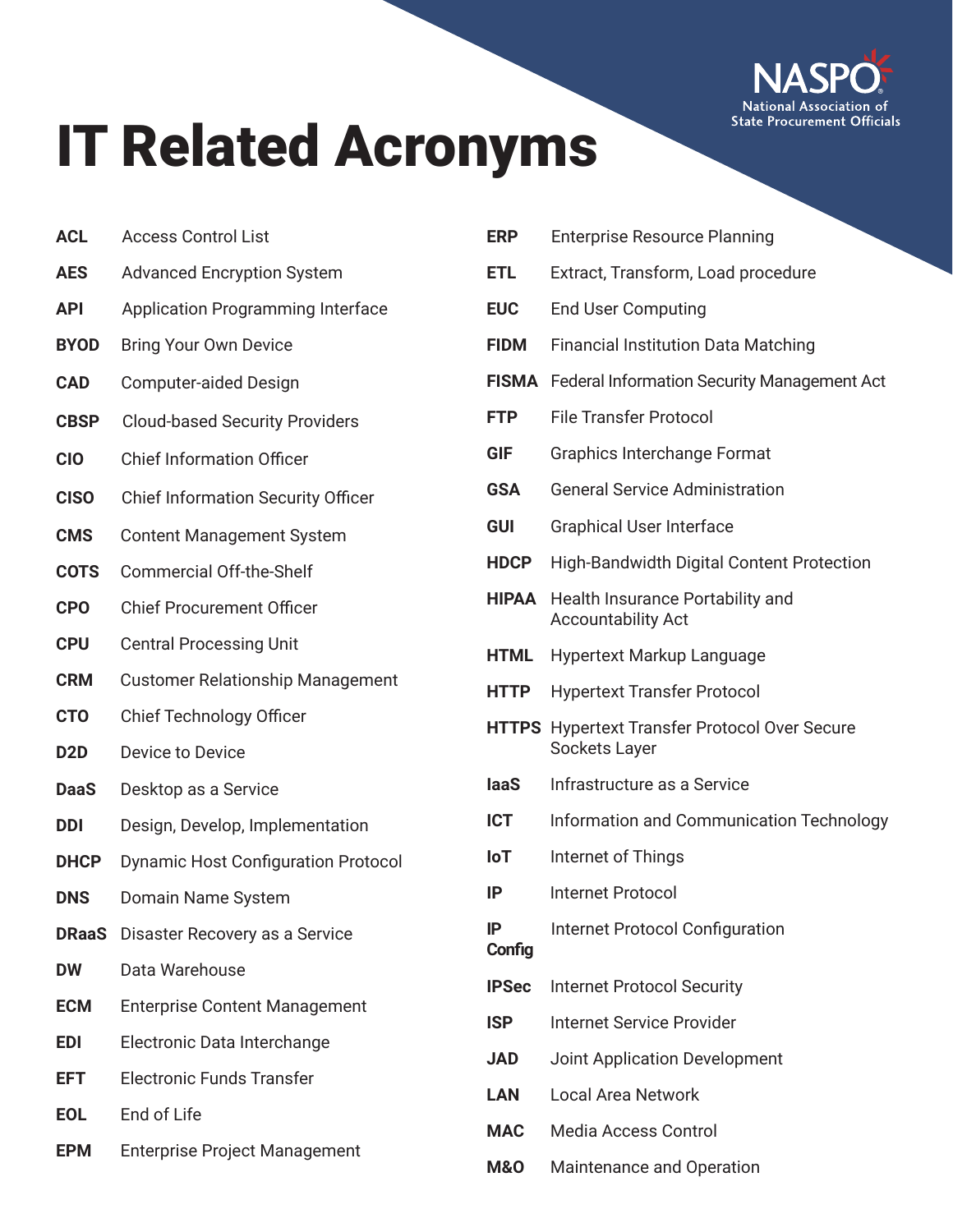

## IT Related Acronyms

- **ACL** Access Control List
- **AES** Advanced Encryption System
- **API** Application Programming Interface
- **BYOD** Bring Your Own Device
- **CAD** Computer-aided Design
- **CBSP** Cloud-based Security Providers
- **CIO** Chief Information Officer
- **CISO** Chief Information Security Officer
- **CMS** Content Management System
- **COTS** Commercial Off-the-Shelf
- **CPO** Chief Procurement Officer
- **CPU** Central Processing Unit
- **CRM** Customer Relationship Management
- **CTO** Chief Technology Officer
- **D2D** Device to Device
- **DaaS** Desktop as a Service
- **DDI** Design, Develop, Implementation
- **DHCP** Dynamic Host Configuration Protocol
- **DNS** Domain Name System
- **DRaaS** Disaster Recovery as a Service
- **DW** Data Warehouse
- **ECM** Enterprise Content Management
- **EDI** Electronic Data Interchange
- **EFT** Electronic Funds Transfer
- **EOL** End of Life
- **EPM** Enterprise Project Management

| <b>ERP</b>   | <b>Enterprise Resource Planning</b>                                   |
|--------------|-----------------------------------------------------------------------|
| <b>ETL</b>   | Extract, Transform, Load procedure                                    |
| <b>EUC</b>   | <b>End User Computing</b>                                             |
| <b>FIDM</b>  | <b>Financial Institution Data Matching</b>                            |
|              | FISMA Federal Information Security Management Act                     |
| <b>FTP</b>   | <b>File Transfer Protocol</b>                                         |
| GIF          | <b>Graphics Interchange Format</b>                                    |
| <b>GSA</b>   | <b>General Service Administration</b>                                 |
| <b>GUI</b>   | <b>Graphical User Interface</b>                                       |
| <b>HDCP</b>  | <b>High-Bandwidth Digital Content Protection</b>                      |
| <b>HIPAA</b> | Health Insurance Portability and<br><b>Accountability Act</b>         |
| <b>HTML</b>  | <b>Hypertext Markup Language</b>                                      |
| <b>HTTP</b>  | <b>Hypertext Transfer Protocol</b>                                    |
|              | <b>HTTPS</b> Hypertext Transfer Protocol Over Secure<br>Sockets Layer |
| laaS         | Infrastructure as a Service                                           |
| <b>ICT</b>   | Information and Communication Technology                              |
| loT          | Internet of Things                                                    |
| IP           | Internet Protocol                                                     |
| IP<br>Config | <b>Internet Protocol Configuration</b>                                |
| <b>IPSec</b> | <b>Internet Protocol Security</b>                                     |
| <b>ISP</b>   | <b>Internet Service Provider</b>                                      |
| <b>JAD</b>   | <b>Joint Application Development</b>                                  |
| <b>LAN</b>   | <b>Local Area Network</b>                                             |
| <b>MAC</b>   | <b>Media Access Control</b>                                           |
|              |                                                                       |

**M&O** Maintenance and Operation